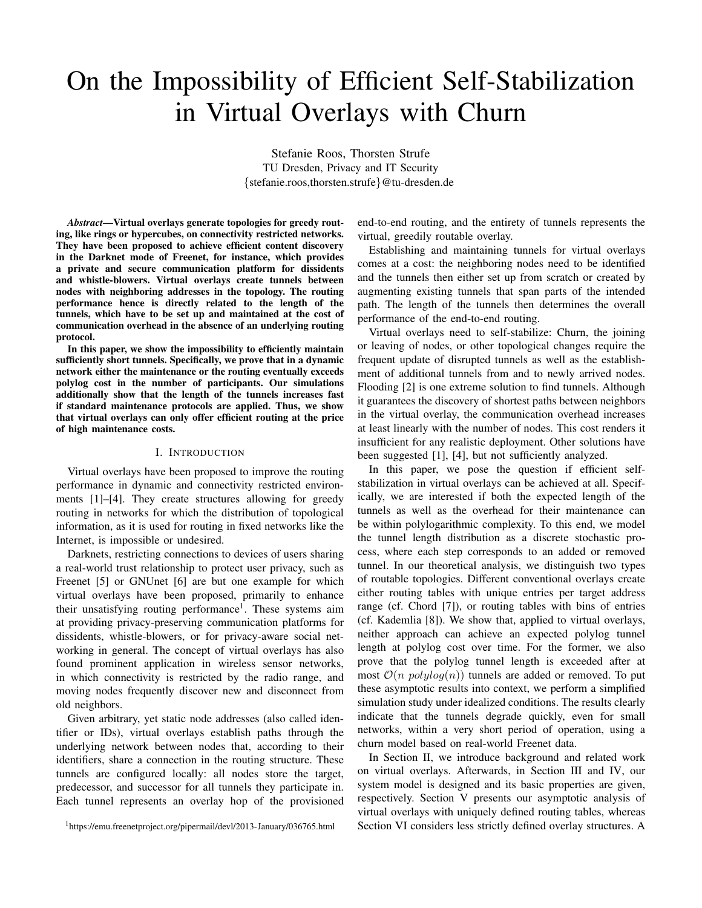# On the Impossibility of Efficient Self-Stabilization in Virtual Overlays with Churn

Stefanie Roos, Thorsten Strufe TU Dresden, Privacy and IT Security {stefanie.roos,thorsten.strufe}@tu-dresden.de

*Abstract*—Virtual overlays generate topologies for greedy routing, like rings or hypercubes, on connectivity restricted networks. They have been proposed to achieve efficient content discovery in the Darknet mode of Freenet, for instance, which provides a private and secure communication platform for dissidents and whistle-blowers. Virtual overlays create tunnels between nodes with neighboring addresses in the topology. The routing performance hence is directly related to the length of the tunnels, which have to be set up and maintained at the cost of communication overhead in the absence of an underlying routing protocol.

In this paper, we show the impossibility to efficiently maintain sufficiently short tunnels. Specifically, we prove that in a dynamic network either the maintenance or the routing eventually exceeds polylog cost in the number of participants. Our simulations additionally show that the length of the tunnels increases fast if standard maintenance protocols are applied. Thus, we show that virtual overlays can only offer efficient routing at the price of high maintenance costs.

#### I. INTRODUCTION

Virtual overlays have been proposed to improve the routing performance in dynamic and connectivity restricted environments [1]–[4]. They create structures allowing for greedy routing in networks for which the distribution of topological information, as it is used for routing in fixed networks like the Internet, is impossible or undesired.

Darknets, restricting connections to devices of users sharing a real-world trust relationship to protect user privacy, such as Freenet [5] or GNUnet [6] are but one example for which virtual overlays have been proposed, primarily to enhance their unsatisfying routing performance<sup>1</sup>. These systems aim at providing privacy-preserving communication platforms for dissidents, whistle-blowers, or for privacy-aware social networking in general. The concept of virtual overlays has also found prominent application in wireless sensor networks, in which connectivity is restricted by the radio range, and moving nodes frequently discover new and disconnect from old neighbors.

Given arbitrary, yet static node addresses (also called identifier or IDs), virtual overlays establish paths through the underlying network between nodes that, according to their identifiers, share a connection in the routing structure. These tunnels are configured locally: all nodes store the target, predecessor, and successor for all tunnels they participate in. Each tunnel represents an overlay hop of the provisioned

<sup>1</sup>https://emu.freenetproject.org/pipermail/devl/2013-January/036765.html

end-to-end routing, and the entirety of tunnels represents the virtual, greedily routable overlay.

Establishing and maintaining tunnels for virtual overlays comes at a cost: the neighboring nodes need to be identified and the tunnels then either set up from scratch or created by augmenting existing tunnels that span parts of the intended path. The length of the tunnels then determines the overall performance of the end-to-end routing.

Virtual overlays need to self-stabilize: Churn, the joining or leaving of nodes, or other topological changes require the frequent update of disrupted tunnels as well as the establishment of additional tunnels from and to newly arrived nodes. Flooding [2] is one extreme solution to find tunnels. Although it guarantees the discovery of shortest paths between neighbors in the virtual overlay, the communication overhead increases at least linearly with the number of nodes. This cost renders it insufficient for any realistic deployment. Other solutions have been suggested [1], [4], but not sufficiently analyzed.

In this paper, we pose the question if efficient selfstabilization in virtual overlays can be achieved at all. Specifically, we are interested if both the expected length of the tunnels as well as the overhead for their maintenance can be within polylogarithmic complexity. To this end, we model the tunnel length distribution as a discrete stochastic process, where each step corresponds to an added or removed tunnel. In our theoretical analysis, we distinguish two types of routable topologies. Different conventional overlays create either routing tables with unique entries per target address range (cf. Chord [7]), or routing tables with bins of entries (cf. Kademlia [8]). We show that, applied to virtual overlays, neither approach can achieve an expected polylog tunnel length at polylog cost over time. For the former, we also prove that the polylog tunnel length is exceeded after at most  $\mathcal{O}(n \text{ polylog}(n))$  tunnels are added or removed. To put these asymptotic results into context, we perform a simplified simulation study under idealized conditions. The results clearly indicate that the tunnels degrade quickly, even for small networks, within a very short period of operation, using a churn model based on real-world Freenet data.

In Section II, we introduce background and related work on virtual overlays. Afterwards, in Section III and IV, our system model is designed and its basic properties are given, respectively. Section V presents our asymptotic analysis of virtual overlays with uniquely defined routing tables, whereas Section VI considers less strictly defined overlay structures. A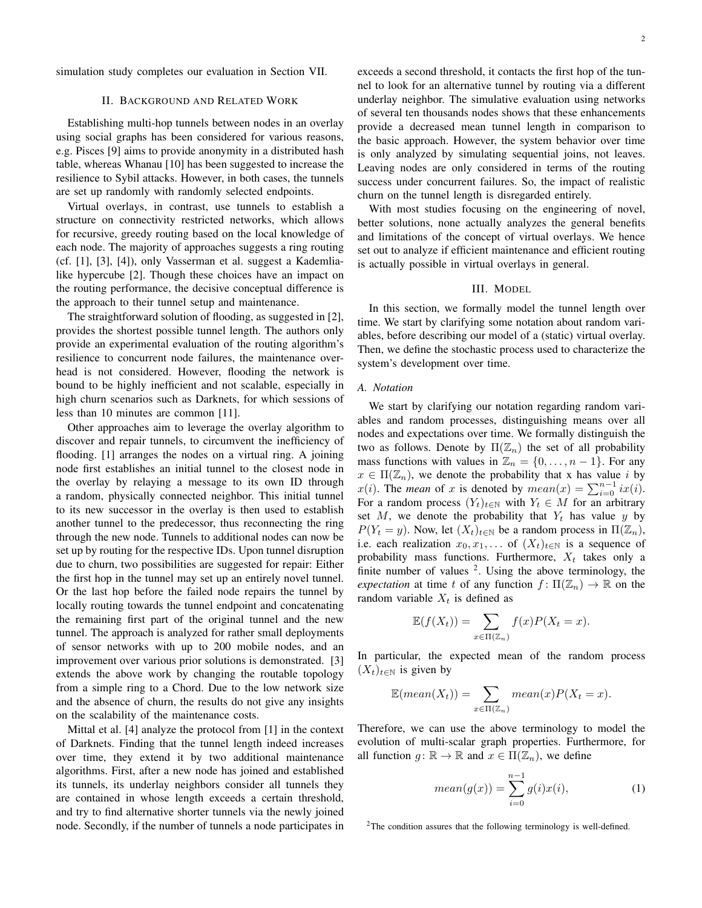simulation study completes our evaluation in Section VII.

# II. BACKGROUND AND RELATED WORK

Establishing multi-hop tunnels between nodes in an overlay using social graphs has been considered for various reasons, e.g. Pisces [9] aims to provide anonymity in a distributed hash table, whereas Whanau [10] has been suggested to increase the resilience to Sybil attacks. However, in both cases, the tunnels are set up randomly with randomly selected endpoints.

Virtual overlays, in contrast, use tunnels to establish a structure on connectivity restricted networks, which allows for recursive, greedy routing based on the local knowledge of each node. The majority of approaches suggests a ring routing (cf. [1], [3], [4]), only Vasserman et al. suggest a Kademlialike hypercube [2]. Though these choices have an impact on the routing performance, the decisive conceptual difference is the approach to their tunnel setup and maintenance.

The straightforward solution of flooding, as suggested in [2], provides the shortest possible tunnel length. The authors only provide an experimental evaluation of the routing algorithm's resilience to concurrent node failures, the maintenance overhead is not considered. However, flooding the network is bound to be highly inefficient and not scalable, especially in high churn scenarios such as Darknets, for which sessions of less than 10 minutes are common [11].

Other approaches aim to leverage the overlay algorithm to discover and repair tunnels, to circumvent the inefficiency of flooding. [1] arranges the nodes on a virtual ring. A joining node first establishes an initial tunnel to the closest node in the overlay by relaying a message to its own ID through a random, physically connected neighbor. This initial tunnel to its new successor in the overlay is then used to establish another tunnel to the predecessor, thus reconnecting the ring through the new node. Tunnels to additional nodes can now be set up by routing for the respective IDs. Upon tunnel disruption due to churn, two possibilities are suggested for repair: Either the first hop in the tunnel may set up an entirely novel tunnel. Or the last hop before the failed node repairs the tunnel by locally routing towards the tunnel endpoint and concatenating the remaining first part of the original tunnel and the new tunnel. The approach is analyzed for rather small deployments of sensor networks with up to 200 mobile nodes, and an improvement over various prior solutions is demonstrated. [3] extends the above work by changing the routable topology from a simple ring to a Chord. Due to the low network size and the absence of churn, the results do not give any insights on the scalability of the maintenance costs.

Mittal et al. [4] analyze the protocol from [1] in the context of Darknets. Finding that the tunnel length indeed increases over time, they extend it by two additional maintenance algorithms. First, after a new node has joined and established its tunnels, its underlay neighbors consider all tunnels they are contained in whose length exceeds a certain threshold, and try to find alternative shorter tunnels via the newly joined node. Secondly, if the number of tunnels a node participates in exceeds a second threshold, it contacts the first hop of the tunnel to look for an alternative tunnel by routing via a different underlay neighbor. The simulative evaluation using networks of several ten thousands nodes shows that these enhancements provide a decreased mean tunnel length in comparison to the basic approach. However, the system behavior over time is only analyzed by simulating sequential joins, not leaves. Leaving nodes are only considered in terms of the routing success under concurrent failures. So, the impact of realistic churn on the tunnel length is disregarded entirely.

With most studies focusing on the engineering of novel, better solutions, none actually analyzes the general benefits and limitations of the concept of virtual overlays. We hence set out to analyze if efficient maintenance and efficient routing is actually possible in virtual overlays in general.

# III. MODEL

In this section, we formally model the tunnel length over time. We start by clarifying some notation about random variables, before describing our model of a (static) virtual overlay. Then, we define the stochastic process used to characterize the system's development over time.

## *A. Notation*

We start by clarifying our notation regarding random variables and random processes, distinguishing means over all nodes and expectations over time. We formally distinguish the two as follows. Denote by  $\Pi(\mathbb{Z}_n)$  the set of all probability mass functions with values in  $\mathbb{Z}_n = \{0, \ldots, n-1\}$ . For any  $x \in \Pi(\mathbb{Z}_n)$ , we denote the probability that x has value i by  $x(i)$ . The *mean* of x is denoted by  $mean(x) = \sum_{i=0}^{n-1} ix(i)$ . For a random process  $(Y_t)_{t \in \mathbb{N}}$  with  $Y_t \in M$  for an arbitrary set M, we denote the probability that  $Y_t$  has value y by  $P(Y_t = y)$ . Now, let  $(X_t)_{t \in \mathbb{N}}$  be a random process in  $\Pi(\mathbb{Z}_n)$ , i.e. each realization  $x_0, x_1, \ldots$  of  $(X_t)_{t \in \mathbb{N}}$  is a sequence of probability mass functions. Furthermore,  $X_t$  takes only a finite number of values  $2$ . Using the above terminology, the *expectation* at time t of any function  $f: \Pi(\mathbb{Z}_n) \to \mathbb{R}$  on the random variable  $X_t$  is defined as

$$
\mathbb{E}(f(X_t)) = \sum_{x \in \Pi(\mathbb{Z}_n)} f(x)P(X_t = x).
$$

In particular, the expected mean of the random process  $(X_t)_{t\in\mathbb{N}}$  is given by

$$
\mathbb{E}(mean(X_t)) = \sum_{x \in \Pi(\mathbb{Z}_n)} mean(x) P(X_t = x).
$$

Therefore, we can use the above terminology to model the evolution of multi-scalar graph properties. Furthermore, for all function  $g: \mathbb{R} \to \mathbb{R}$  and  $x \in \Pi(\mathbb{Z}_n)$ , we define

$$
mean(g(x)) = \sum_{i=0}^{n-1} g(i)x(i),
$$
 (1)

<sup>2</sup>The condition assures that the following terminology is well-defined.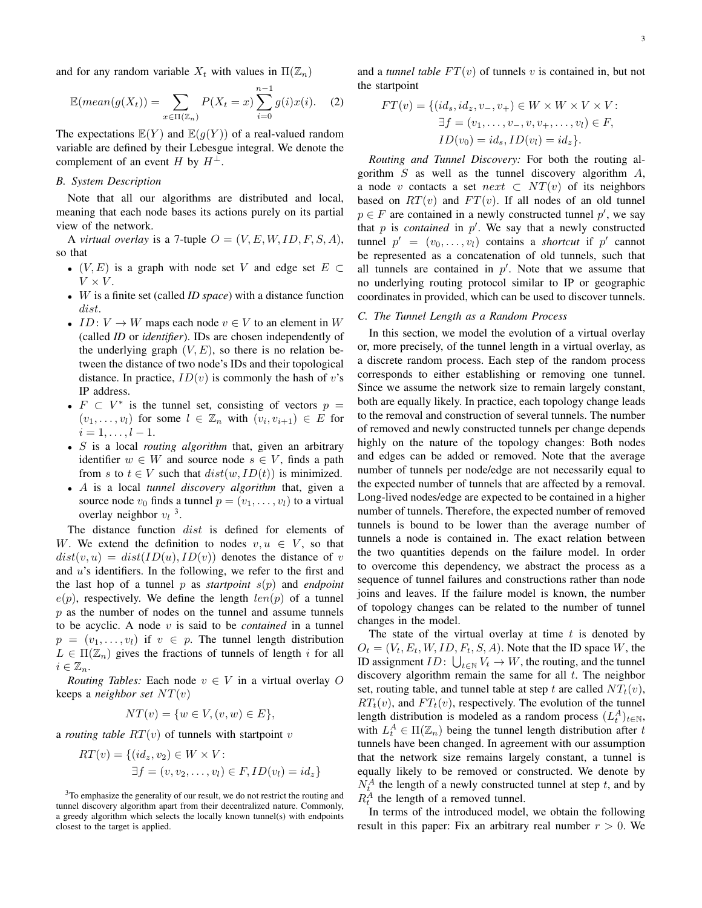and for any random variable  $X_t$  with values in  $\Pi(\mathbb{Z}_n)$ 

$$
\mathbb{E}(mean(g(X_t)) = \sum_{x \in \Pi(\mathbb{Z}_n)} P(X_t = x) \sum_{i=0}^{n-1} g(i)x(i). \quad (2)
$$

The expectations  $\mathbb{E}(Y)$  and  $\mathbb{E}(q(Y))$  of a real-valued random variable are defined by their Lebesgue integral. We denote the complement of an event H by  $H^{\perp}$ .

# *B. System Description*

Note that all our algorithms are distributed and local, meaning that each node bases its actions purely on its partial view of the network.

A *virtual overlay* is a 7-tuple  $O = (V, E, W, ID, F, S, A)$ , so that

- $(V, E)$  is a graph with node set V and edge set  $E \subset$  $V \times V$ .
- W is a finite set (called *ID space*) with a distance function dist.
- ID:  $V \to W$  maps each node  $v \in V$  to an element in W (called *ID* or *identifier*). IDs are chosen independently of the underlying graph  $(V, E)$ , so there is no relation between the distance of two node's IDs and their topological distance. In practice,  $ID(v)$  is commonly the hash of v's IP address.
- $F \subset V^*$  is the tunnel set, consisting of vectors  $p =$  $(v_1, \ldots, v_l)$  for some  $l \in \mathbb{Z}_n$  with  $(v_i, v_{i+1}) \in E$  for  $i = 1, \ldots, l - 1.$
- S is a local *routing algorithm* that, given an arbitrary identifier  $w \in W$  and source node  $s \in V$ , finds a path from s to  $t \in V$  such that  $dist(w, ID(t))$  is minimized.
- A is a local *tunnel discovery algorithm* that, given a source node  $v_0$  finds a tunnel  $p = (v_1, \ldots, v_l)$  to a virtual overlay neighbor  $v_l$ <sup>3</sup>.

The distance function dist is defined for elements of W. We extend the definition to nodes  $v, u \in V$ , so that  $dist(v, u) = dist(ID(u), ID(v))$  denotes the distance of v and u's identifiers. In the following, we refer to the first and the last hop of a tunnel p as *startpoint*  $s(p)$  and *endpoint*  $e(p)$ , respectively. We define the length  $len(p)$  of a tunnel  $p$  as the number of nodes on the tunnel and assume tunnels to be acyclic. A node v is said to be *contained* in a tunnel  $p = (v_1, \ldots, v_l)$  if  $v \in p$ . The tunnel length distribution  $L \in \Pi(\mathbb{Z}_n)$  gives the fractions of tunnels of length i for all  $i\in\mathbb{Z}_n$ .

*Routing Tables:* Each node  $v \in V$  in a virtual overlay O keeps a *neighbor set*  $NT(v)$ 

$$
NT(v) = \{w \in V, (v, w) \in E\},\
$$

a *routing table*  $RT(v)$  of tunnels with startpoint v

$$
RT(v) = \{ (id_z, v_2) \in W \times V : \newline \exists f = (v, v_2, \dots, v_l) \in F, ID(v_l) = id_z \}
$$

<sup>3</sup>To emphasize the generality of our result, we do not restrict the routing and tunnel discovery algorithm apart from their decentralized nature. Commonly, a greedy algorithm which selects the locally known tunnel(s) with endpoints closest to the target is applied.

and a *tunnel table*  $FT(v)$  of tunnels v is contained in, but not the startpoint

$$
FT(v) = \{ (id_s, id_z, v_-, v_+) \in W \times W \times V \times V : \n\exists f = (v_1, \dots, v_-, v, v_+, \dots, v_l) \in F, \nID(v_0) = id_s, ID(v_l) = id_z \}.
$$

*Routing and Tunnel Discovery:* For both the routing algorithm  $S$  as well as the tunnel discovery algorithm  $A$ , a node v contacts a set  $next \subset NT(v)$  of its neighbors based on  $RT(v)$  and  $FT(v)$ . If all nodes of an old tunnel  $p \in F$  are contained in a newly constructed tunnel p', we say that  $p$  is *contained* in  $p'$ . We say that a newly constructed tunnel  $p' = (v_0, \ldots, v_l)$  contains a *shortcut* if  $p'$  cannot be represented as a concatenation of old tunnels, such that all tunnels are contained in  $p'$ . Note that we assume that no underlying routing protocol similar to IP or geographic coordinates in provided, which can be used to discover tunnels.

#### *C. The Tunnel Length as a Random Process*

In this section, we model the evolution of a virtual overlay or, more precisely, of the tunnel length in a virtual overlay, as a discrete random process. Each step of the random process corresponds to either establishing or removing one tunnel. Since we assume the network size to remain largely constant, both are equally likely. In practice, each topology change leads to the removal and construction of several tunnels. The number of removed and newly constructed tunnels per change depends highly on the nature of the topology changes: Both nodes and edges can be added or removed. Note that the average number of tunnels per node/edge are not necessarily equal to the expected number of tunnels that are affected by a removal. Long-lived nodes/edge are expected to be contained in a higher number of tunnels. Therefore, the expected number of removed tunnels is bound to be lower than the average number of tunnels a node is contained in. The exact relation between the two quantities depends on the failure model. In order to overcome this dependency, we abstract the process as a sequence of tunnel failures and constructions rather than node joins and leaves. If the failure model is known, the number of topology changes can be related to the number of tunnel changes in the model.

The state of the virtual overlay at time  $t$  is denoted by  $O_t = (V_t, E_t, W, ID, F_t, S, A)$ . Note that the ID space W, the ID assignment  $ID: \bigcup_{t \in \mathbb{N}} V_t \to W$ , the routing, and the tunnel discovery algorithm remain the same for all  $t$ . The neighbor set, routing table, and tunnel table at step t are called  $NT_t(v)$ ,  $RT<sub>t</sub>(v)$ , and  $FT<sub>t</sub>(v)$ , respectively. The evolution of the tunnel length distribution is modeled as a random process  $(L_t^A)_{t \in \mathbb{N}},$ with  $L_t^A \in \Pi(\mathbb{Z}_n)$  being the tunnel length distribution after t tunnels have been changed. In agreement with our assumption that the network size remains largely constant, a tunnel is equally likely to be removed or constructed. We denote by  $N_t^A$  the length of a newly constructed tunnel at step t, and by  $R_t^A$  the length of a removed tunnel.

In terms of the introduced model, we obtain the following result in this paper: Fix an arbitrary real number  $r > 0$ . We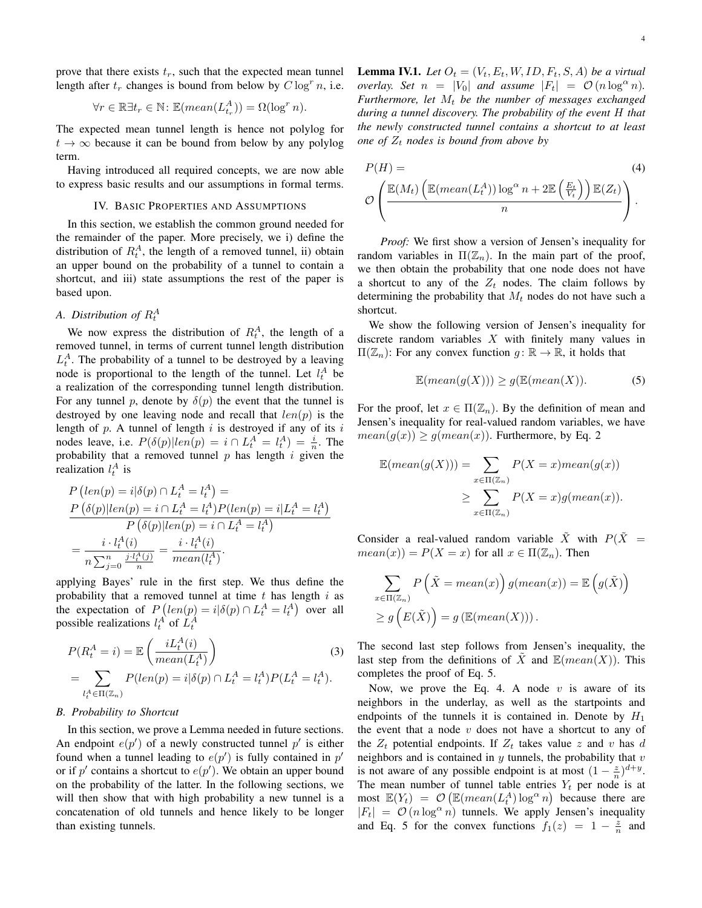prove that there exists  $t_r$ , such that the expected mean tunnel length after  $t_r$  changes is bound from below by  $C \log^r n$ , i.e.

$$
\forall r \in \mathbb{R} \exists t_r \in \mathbb{N} \colon \mathbb{E}(mean(L_{t_r}^A)) = \Omega(\log^r n).
$$

The expected mean tunnel length is hence not polylog for  $t \to \infty$  because it can be bound from below by any polylog term.

Having introduced all required concepts, we are now able to express basic results and our assumptions in formal terms.

#### IV. BASIC PROPERTIES AND ASSUMPTIONS

In this section, we establish the common ground needed for the remainder of the paper. More precisely, we i) define the distribution of  $R_t^A$ , the length of a removed tunnel, ii) obtain an upper bound on the probability of a tunnel to contain a shortcut, and iii) state assumptions the rest of the paper is based upon.

# *A. Distribution of* R<sup>A</sup> t

We now express the distribution of  $R_t^A$ , the length of a removed tunnel, in terms of current tunnel length distribution  $L_t^A$ . The probability of a tunnel to be destroyed by a leaving node is proportional to the length of the tunnel. Let  $l_t^A$  be a realization of the corresponding tunnel length distribution. For any tunnel p, denote by  $\delta(p)$  the event that the tunnel is destroyed by one leaving node and recall that  $len(p)$  is the length of  $p$ . A tunnel of length  $i$  is destroyed if any of its  $i$ nodes leave, i.e.  $P(\delta(p)|len(p) = i \cap L_t^A = l_t^A) = \frac{i}{n}$ . The probability that a removed tunnel  $p$  has length  $i$  given the realization  $l_t^A$  is

$$
P\left(len(p) = i | \delta(p) \cap L_t^A = l_t^A\right) =
$$
\n
$$
\frac{P\left(\delta(p) | len(p) = i \cap L_t^A = l_t^A\right) P(len(p) = i | L_t^A = l_t^A)}{P\left(\delta(p) | len(p) = i \cap L_t^A = l_t^A\right)}
$$
\n
$$
= \frac{i \cdot l_t^A(i)}{n \sum_{j=0}^n \frac{j \cdot l_t^A(j)}{n}} = \frac{i \cdot l_t^A(i)}{mean(l_t^A)}.
$$

applying Bayes' rule in the first step. We thus define the probability that a removed tunnel at time  $t$  has length  $i$  as the expectation of  $P\left( \text{len}(p) = i | \delta(p) \cap L_t^A = l_t^A \right)$  over all possible realizations  $l_t^A$  of  $L_t^A$ 

$$
P(R_t^A = i) = \mathbb{E}\left(\frac{iL_t^A(i)}{mean(L_t^A)}\right)
$$
(3)  
= 
$$
\sum_{l_t^A \in \Pi(\mathbb{Z}_n)} P(len(p) = i | \delta(p) \cap L_t^A = l_t^A) P(L_t^A = l_t^A).
$$

# *B. Probability to Shortcut*

In this section, we prove a Lemma needed in future sections. An endpoint  $e(p')$  of a newly constructed tunnel  $p'$  is either found when a tunnel leading to  $e(p')$  is fully contained in  $p'$ or if  $p'$  contains a shortcut to  $e(p')$ . We obtain an upper bound on the probability of the latter. In the following sections, we will then show that with high probability a new tunnel is a concatenation of old tunnels and hence likely to be longer than existing tunnels.

**Lemma IV.1.** Let  $O_t = (V_t, E_t, W, ID, F_t, S, A)$  be a virtual *overlay.* Set  $n = |V_0|$  *and assume*  $|F_t| = O(n \log^{\alpha} n)$ *.*  $Furthermore, let M<sub>t</sub> be the number of messages exchanged$ *during a tunnel discovery. The probability of the event* H *that the newly constructed tunnel contains a shortcut to at least one of*  $Z_t$  *nodes is bound from above by* 

$$
P(H) = \n\mathcal{O}\left(\frac{\mathbb{E}(M_t)\left(\mathbb{E}(mean(L_t^A))\log^{\alpha} n + 2\mathbb{E}\left(\frac{E_t}{V_t}\right)\right)\mathbb{E}(Z_t)}{n}\right).
$$
\n(4)

*Proof:* We first show a version of Jensen's inequality for random variables in  $\Pi(\mathbb{Z}_n)$ . In the main part of the proof, we then obtain the probability that one node does not have a shortcut to any of the  $Z_t$  nodes. The claim follows by determining the probability that  $M_t$  nodes do not have such a shortcut.

We show the following version of Jensen's inequality for discrete random variables  $X$  with finitely many values in  $\Pi(\mathbb{Z}_n)$ : For any convex function  $g : \mathbb{R} \to \mathbb{R}$ , it holds that

$$
\mathbb{E}(mean(g(X))) \ge g(\mathbb{E}(mean(X)). \tag{5}
$$

For the proof, let  $x \in \Pi(\mathbb{Z}_n)$ . By the definition of mean and Jensen's inequality for real-valued random variables, we have  $mean(g(x)) \geq g(mean(x))$ . Furthermore, by Eq. 2

$$
\mathbb{E}(mean(g(X))) = \sum_{x \in \Pi(\mathbb{Z}_n)} P(X = x)mean(g(x))
$$

$$
\geq \sum_{x \in \Pi(\mathbb{Z}_n)} P(X = x)g(mean(x)).
$$

Consider a real-valued random variable  $\tilde{X}$  with  $P(\tilde{X}) =$  $mean(x)$ ) =  $P(X = x)$  for all  $x \in \Pi(\mathbb{Z}_n)$ . Then

$$
\sum_{x \in \Pi(\mathbb{Z}_n)} P\left(\tilde{X} = mean(x)\right) g(mean(x)) = \mathbb{E}\left(g(\tilde{X})\right)
$$

$$
\geq g\left(E(\tilde{X})\right) = g\left(\mathbb{E}(mean(X))\right).
$$

The second last step follows from Jensen's inequality, the last step from the definitions of X and  $\mathbb{E}(mean(X))$ . This completes the proof of Eq. 5.

Now, we prove the Eq. 4. A node  $v$  is aware of its neighbors in the underlay, as well as the startpoints and endpoints of the tunnels it is contained in. Denote by  $H_1$ the event that a node  $v$  does not have a shortcut to any of the  $Z_t$  potential endpoints. If  $Z_t$  takes value z and v has d neighbors and is contained in  $y$  tunnels, the probability that  $v$ is not aware of any possible endpoint is at most  $(1 - \frac{z}{n})^{d+y}$ . The mean number of tunnel table entries  $Y_t$  per node is at most  $\mathbb{E}(Y_t) = \mathcal{O}\left(\mathbb{E}(mean(L_t^A) \log^\alpha n)\right)$  because there are  $|F_t| = \mathcal{O}(n \log^{\alpha} n)$  tunnels. We apply Jensen's inequality and Eq. 5 for the convex functions  $f_1(z) = 1 - \frac{z}{n}$  and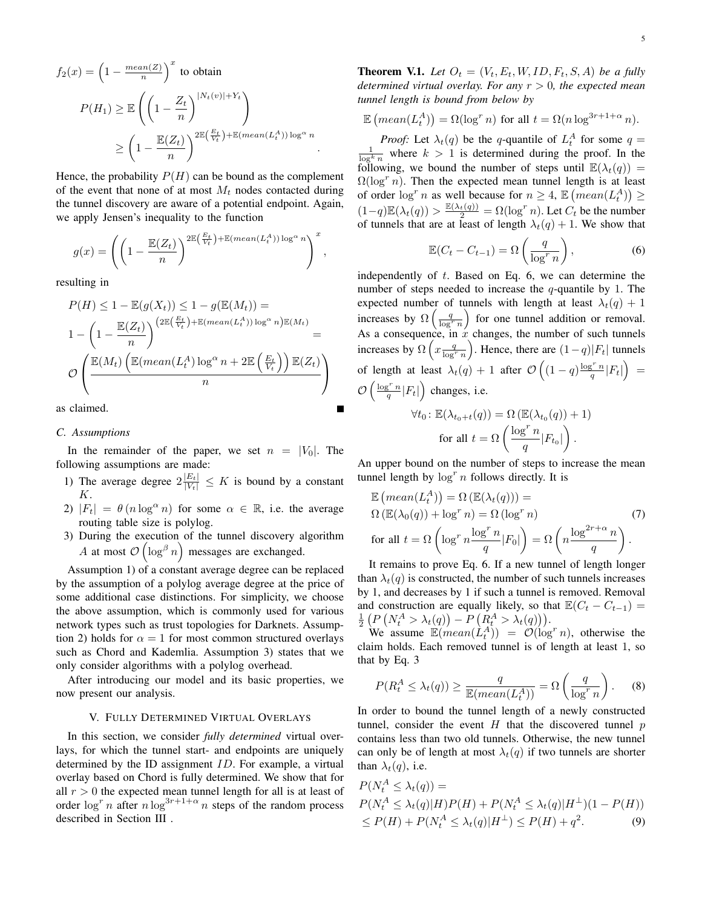$$
f_2(x) = \left(1 - \frac{mean(Z)}{n}\right)^x \text{ to obtain}
$$

$$
P(H_1) \ge \mathbb{E}\left(\left(1 - \frac{Z_t}{n}\right)^{|N_t(v)| + Y_t}\right)
$$

$$
\ge \left(1 - \frac{\mathbb{E}(Z_t)}{n}\right)^{2\mathbb{E}\left(\frac{E_t}{V_t}\right) + \mathbb{E}(mean(L_t^A))\log^\alpha n}
$$

Hence, the probability  $P(H)$  can be bound as the complement of the event that none of at most  $M_t$  nodes contacted during the tunnel discovery are aware of a potential endpoint. Again, we apply Jensen's inequality to the function

.

$$
g(x) = \left( \left( 1 - \frac{\mathbb{E}(Z_t)}{n} \right)^{2\mathbb{E}\left(\frac{E_t}{V_t}\right) + \mathbb{E}(mean(L_t^A)) \log^{\alpha} n} \right)^x,
$$

resulting in

$$
P(H) \le 1 - \mathbb{E}(g(X_t)) \le 1 - g(\mathbb{E}(M_t)) =
$$
  

$$
1 - \left(1 - \frac{\mathbb{E}(Z_t)}{n}\right)^{(2\mathbb{E}\left(\frac{E_t}{V_t}\right) + \mathbb{E}(mean(L_t^A)) \log^{\alpha} n) \mathbb{E}(M_t)} =
$$
  

$$
\mathcal{O}\left(\frac{\mathbb{E}(M_t)\left(\mathbb{E}(mean(L_t^A) \log^{\alpha} n + 2\mathbb{E}\left(\frac{E_t}{V_t}\right)\right) \mathbb{E}(Z_t)}{n}\right)
$$

as claimed.

## *C. Assumptions*

In the remainder of the paper, we set  $n = |V_0|$ . The following assumptions are made:

- 1) The average degree  $2\frac{|E_t|}{|V_t|} \leq K$  is bound by a constant K.
- 2)  $|F_t| = \theta(n \log^{\alpha} n)$  for some  $\alpha \in \mathbb{R}$ , i.e. the average routing table size is polylog.
- 3) During the execution of the tunnel discovery algorithm A at most  $\mathcal{O}\left(\log^{\beta} n\right)$  messages are exchanged.

Assumption 1) of a constant average degree can be replaced by the assumption of a polylog average degree at the price of some additional case distinctions. For simplicity, we choose the above assumption, which is commonly used for various network types such as trust topologies for Darknets. Assumption 2) holds for  $\alpha = 1$  for most common structured overlays such as Chord and Kademlia. Assumption 3) states that we only consider algorithms with a polylog overhead.

After introducing our model and its basic properties, we now present our analysis.

# V. FULLY DETERMINED VIRTUAL OVERLAYS

In this section, we consider *fully determined* virtual overlays, for which the tunnel start- and endpoints are uniquely determined by the ID assignment ID. For example, a virtual overlay based on Chord is fully determined. We show that for all  $r > 0$  the expected mean tunnel length for all is at least of order  $\log^r n$  after  $n \log^{3r+1+\alpha} n$  steps of the random process described in Section III .

$$
\mathbb{E}\left(\operatorname{mean}(L_t^A)\right) = \Omega(\log^r n) \text{ for all } t = \Omega(n \log^{3r+1+\alpha} n).
$$

*Proof:* Let  $\lambda_t(q)$  be the q-quantile of  $L_t^A$  for some  $q = \frac{1}{\log^k n}$  where  $k > 1$  is determined during the proof. In the following, we bound the number of steps until  $\mathbb{E}(\lambda_t(q)) =$  $\Omega(\log^{r} n)$ . Then the expected mean tunnel length is at least of order  $\log^n n$  as well because for  $n \geq 4$ ,  $\mathbb{E}\left(\text{mean}(L_t^A)\right) \geq$  $(1-q)\mathbb{E}(\lambda_t(q)) > \frac{\mathbb{E}(\lambda_t(q))}{2} = \Omega(\log^r n)$ . Let  $C_t$  be the number of tunnels that are at least of length  $\lambda_t(q) + 1$ . We show that

$$
\mathbb{E}(C_t - C_{t-1}) = \Omega\left(\frac{q}{\log^r n}\right),\tag{6}
$$

independently of t. Based on Eq. 6, we can determine the number of steps needed to increase the  $q$ -quantile by 1. The expected number of tunnels with length at least  $\lambda_t(q) + 1$ increases by  $\Omega\left(\frac{q}{\log^r n}\right)$  for one tunnel addition or removal. As a consequence, in  $\dot{x}$  changes, the number of such tunnels increases by  $\Omega\left(x \frac{q}{\log^r n}\right)$ . Hence, there are  $(1-q)|F_t|$  tunnels of length at least  $\lambda_t(q) + 1$  after  $\mathcal{O}\left((1-q)\frac{\log^r n}{q}|F_t|\right) =$  $\mathcal{O}\left(\frac{\log^r n}{q}|F_t|\right)$  changes, i.e.

$$
\forall t_0 \colon \mathbb{E}(\lambda_{t_0+t}(q)) = \Omega \left( \mathbb{E}(\lambda_{t_0}(q)) + 1 \right)
$$
  
for all  $t = \Omega \left( \frac{\log^r n}{q} |F_{t_0}| \right)$ .

An upper bound on the number of steps to increase the mean tunnel length by  $\log^n n$  follows directly. It is

$$
\mathbb{E}\left(\operatorname{mean}(L_t^A)\right) = \Omega\left(\mathbb{E}(\lambda_t(q))\right) =
$$
\n
$$
\Omega\left(\mathbb{E}(\lambda_0(q)) + \log^r n\right) = \Omega\left(\log^r n\right) \tag{7}
$$
\n
$$
\text{for all } t = \Omega\left(\log^r n \frac{\log^r n}{q} |F_0|\right) = \Omega\left(n \frac{\log^{2r+\alpha} n}{q}\right).
$$

It remains to prove Eq. 6. If a new tunnel of length longer than  $\lambda_t(q)$  is constructed, the number of such tunnels increases by 1, and decreases by 1 if such a tunnel is removed. Removal and construction are equally likely, so that  $\mathbb{E}(C_t - C_{t-1}) =$  $\frac{1}{2} \left( P \left( N_t^A > \lambda_t(q) \right) - P \left( R_t^A > \lambda_t(q) \right) \right).$ 

We assume  $\mathbb{E}(mean(\hat{L}_t^A)) = \mathcal{O}(\log^r n)$ , otherwise the claim holds. Each removed tunnel is of length at least 1, so that by Eq. 3

$$
P(R_t^A \le \lambda_t(q)) \ge \frac{q}{\mathbb{E}(mean(L_t^A))} = \Omega\left(\frac{q}{\log^r n}\right). \tag{8}
$$

In order to bound the tunnel length of a newly constructed tunnel, consider the event  $H$  that the discovered tunnel  $p$ contains less than two old tunnels. Otherwise, the new tunnel can only be of length at most  $\lambda_t(q)$  if two tunnels are shorter than  $\lambda_t(q)$ , i.e.

$$
P(N_t^A \le \lambda_t(q)) =
$$
  
\n
$$
P(N_t^A \le \lambda_t(q)|H)P(H) + P(N_t^A \le \lambda_t(q)|H^{\perp})(1 - P(H))
$$
  
\n
$$
\le P(H) + P(N_t^A \le \lambda_t(q)|H^{\perp}) \le P(H) + q^2.
$$
\n(9)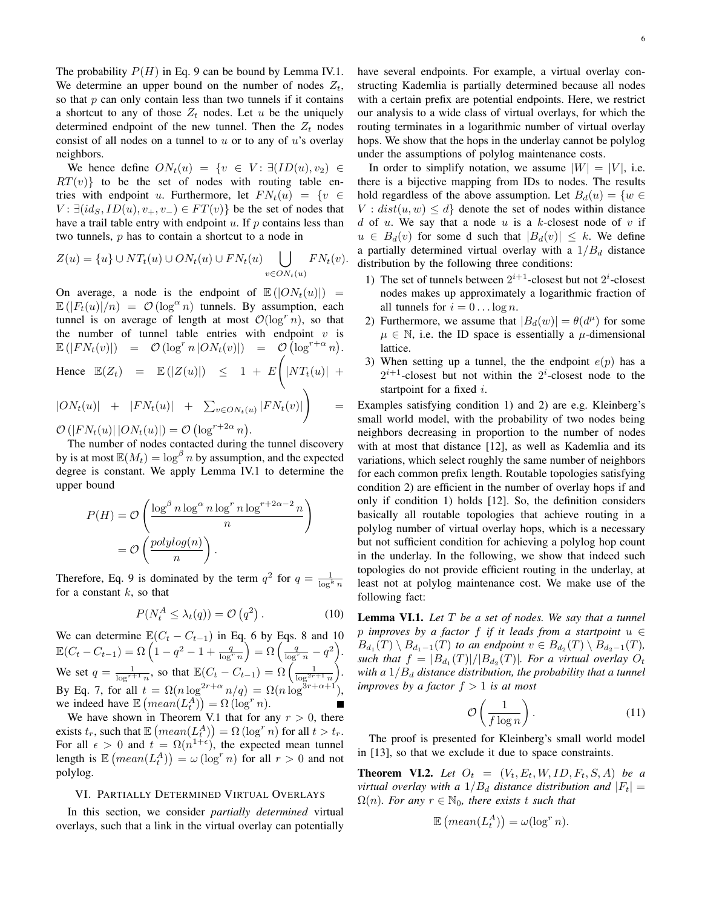The probability  $P(H)$  in Eq. 9 can be bound by Lemma IV.1. We determine an upper bound on the number of nodes  $Z_t$ , so that  $p$  can only contain less than two tunnels if it contains a shortcut to any of those  $Z_t$  nodes. Let u be the uniquely determined endpoint of the new tunnel. Then the  $Z_t$  nodes consist of all nodes on a tunnel to  $u$  or to any of  $u$ 's overlay neighbors.

We hence define  $ON_t(u) = \{v \in V : \exists (ID(u), v_2) \in$  $RT(v)$ } to be the set of nodes with routing table entries with endpoint u. Furthermore, let  $FN_t(u) = \{v \in$  $V: \exists (id_S, ID(u), v_+, v_-) \in FT(v) \}$  be the set of nodes that have a trail table entry with endpoint  $u$ . If  $p$  contains less than two tunnels, p has to contain a shortcut to a node in

$$
Z(u) = \{u\} \cup NT_t(u) \cup ON_t(u) \cup FN_t(u) \bigcup_{v \in ON_t(u)} FN_t(v).
$$

On average, a node is the endpoint of  $\mathbb{E}(|ON_t(u)|) =$  $\mathbb{E}(|F_t(u)|/n) = \mathcal{O}(\log^{\alpha} n)$  tunnels. By assumption, each tunnel is on average of length at most  $\mathcal{O}(\log^r n)$ , so that the number of tunnel table entries with endpoint  $v$  is  $\mathbb{E}(|FN_t(v)|) = \mathcal{O}(\log^r n |ON_t(v)|) = \mathcal{O}(\log^{r+\alpha} n).$ Hence  $\mathbb{E}(Z_t) = \mathbb{E}(|Z(u)|) \leq 1 + E$  $|NT_t(u)| +$  $|ON_t(u)| + |FN_t(u)| + \sum_{v \in ON_t(u)} |FN_t(v)|$  $\setminus$ =  $\mathcal{O}(|FN_t(u)| |ON_t(u)|) = \mathcal{O}(\log^{r+2\alpha} n).$ 

The number of nodes contacted during the tunnel discovery by is at most  $\mathbb{E}(M_t) = \log^p n$  by assumption, and the expected degree is constant. We apply Lemma IV.1 to determine the upper bound

$$
P(H) = \mathcal{O}\left(\frac{\log^{\beta} n \log^{\alpha} n \log^{r} n \log^{r+2\alpha-2} n}{n}\right)
$$

$$
= \mathcal{O}\left(\frac{polylog(n)}{n}\right).
$$

Therefore, Eq. 9 is dominated by the term  $q^2$  for  $q = \frac{1}{\log^k n}$ for a constant  $k$ , so that

$$
P(N_t^A \le \lambda_t(q)) = \mathcal{O}(q^2). \tag{10}
$$

We can determine  $\mathbb{E}(C_t - C_{t-1})$  in Eq. 6 by Eqs. 8 and 10  $\mathbb{E}(C_t - C_{t-1}) = \Omega\left(1 - q^2 - 1 + \frac{q}{\log^r n}\right) = \Omega\left(\frac{q}{\log^r n} - q^2\right).$ We set  $q = \frac{1}{\log^{r+1} n}$ , so that  $\mathbb{E}(C_t - C_{t-1}) = \Omega\left(\frac{1}{\log^{2r+1} n}\right)$ . By Eq. 7, for all  $t = \Omega(n \log^{2r+\alpha} n/q) = \Omega(n \log^{3r+\alpha+1}),$ we indeed have  $\mathbb{E}\left(\text{mean}(L_t^A)\right) = \Omega(\log^r n).$ 

We have shown in Theorem V.1 that for any  $r > 0$ , there exists  $t_r$ , such that  $\mathbb{E}\left(\text{mean}(L_t^A)\right) = \Omega(\log^r n)$  for all  $t > t_r$ . For all  $\epsilon > 0$  and  $t = \Omega(n^{1+\epsilon})$ , the expected mean tunnel length is  $\mathbb{E} \left( \text{mean}(L_t^A) \right) = \omega(\log^r n)$  for all  $r > 0$  and not polylog.

# VI. PARTIALLY DETERMINED VIRTUAL OVERLAYS

In this section, we consider *partially determined* virtual overlays, such that a link in the virtual overlay can potentially have several endpoints. For example, a virtual overlay constructing Kademlia is partially determined because all nodes with a certain prefix are potential endpoints. Here, we restrict our analysis to a wide class of virtual overlays, for which the routing terminates in a logarithmic number of virtual overlay hops. We show that the hops in the underlay cannot be polylog under the assumptions of polylog maintenance costs.

In order to simplify notation, we assume  $|W| = |V|$ , i.e. there is a bijective mapping from IDs to nodes. The results hold regardless of the above assumption. Let  $B_d(u) = \{w \in$  $V : dist(u, w) \leq d$  denote the set of nodes within distance d of u. We say that a node u is a k-closest node of v if  $u \in B_d(v)$  for some d such that  $|B_d(v)| \leq k$ . We define a partially determined virtual overlay with a  $1/B_d$  distance distribution by the following three conditions:

- 1) The set of tunnels between  $2^{i+1}$ -closest but not  $2^i$ -closest nodes makes up approximately a logarithmic fraction of all tunnels for  $i = 0 \dots \log n$ .
- 2) Furthermore, we assume that  $|B_d(w)| = \theta(d^{\mu})$  for some  $\mu \in \mathbb{N}$ , i.e. the ID space is essentially a  $\mu$ -dimensional lattice.
- 3) When setting up a tunnel, the the endpoint  $e(p)$  has a  $2^{i+1}$ -closest but not within the  $2^i$ -closest node to the startpoint for a fixed i.

Examples satisfying condition 1) and 2) are e.g. Kleinberg's small world model, with the probability of two nodes being neighbors decreasing in proportion to the number of nodes with at most that distance [12], as well as Kademlia and its variations, which select roughly the same number of neighbors for each common prefix length. Routable topologies satisfying condition 2) are efficient in the number of overlay hops if and only if condition 1) holds [12]. So, the definition considers basically all routable topologies that achieve routing in a polylog number of virtual overlay hops, which is a necessary but not sufficient condition for achieving a polylog hop count in the underlay. In the following, we show that indeed such topologies do not provide efficient routing in the underlay, at least not at polylog maintenance cost. We make use of the following fact:

Lemma VI.1. *Let* T *be a set of nodes. We say that a tunnel* p *improves by a factor* f *if it leads from a startpoint* u ∈  $B_{d_1}(T) \setminus B_{d_1-1}(T)$  *to an endpoint*  $v \in B_{d_2}(T) \setminus B_{d_2-1}(T)$ *,* such that  $f = |B_{d_1}(T)|/|B_{d_2}(T)|$ . For a virtual overlay  $O_t$ *with a*  $1/B_d$  *distance distribution, the probability that a tunnel improves by a factor*  $f > 1$  *is at most* 

$$
\mathcal{O}\left(\frac{1}{f\log n}\right). \tag{11}
$$

The proof is presented for Kleinberg's small world model in [13], so that we exclude it due to space constraints.

**Theorem VI.2.** Let  $O_t = (V_t, E_t, W, ID, F_t, S, A)$  be a *virtual overlay with a*  $1/B_d$  *distance distribution and*  $|F_t|$  =  $\Omega(n)$ *. For any*  $r \in \mathbb{N}_0$ *, there exists t such that* 

$$
\mathbb{E}\left(\operatorname{mean}(L_t^A)\right) = \omega(\log^r n).
$$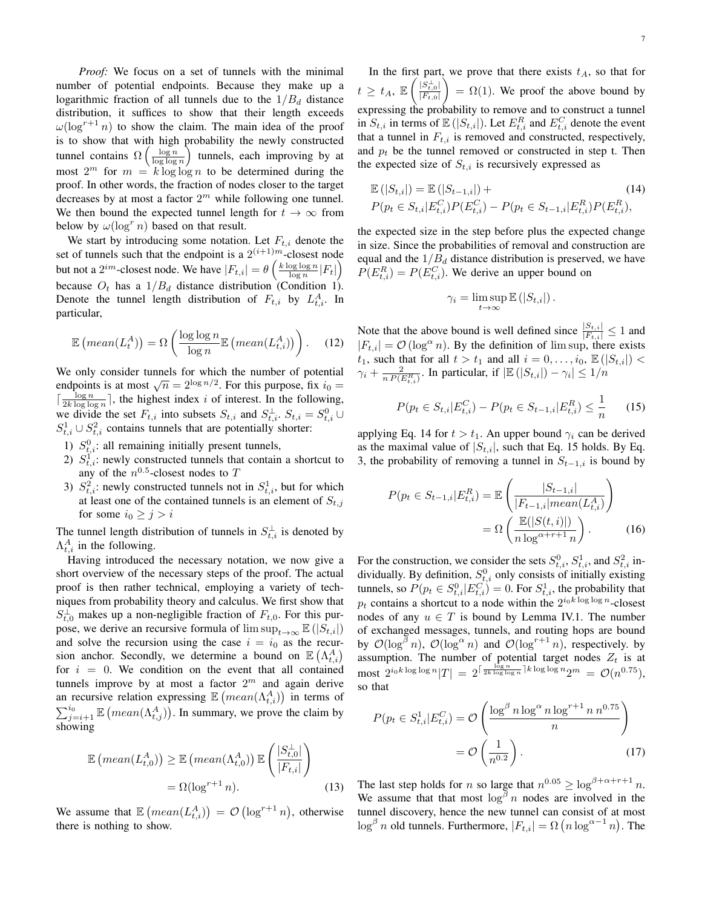*Proof:* We focus on a set of tunnels with the minimal number of potential endpoints. Because they make up a logarithmic fraction of all tunnels due to the  $1/B_d$  distance distribution, it suffices to show that their length exceeds  $\omega(\log^{r+1} n)$  to show the claim. The main idea of the proof is to show that with high probability the newly constructed tunnel contains  $\Omega\left(\frac{\log n}{\log \log n}\right)$  tunnels, each improving by at most  $2^m$  for  $m = k \log \log n$  to be determined during the proof. In other words, the fraction of nodes closer to the target decreases by at most a factor  $2<sup>m</sup>$  while following one tunnel. We then bound the expected tunnel length for  $t \to \infty$  from below by  $\omega(\log^r n)$  based on that result.

We start by introducing some notation. Let  $F_{t,i}$  denote the set of tunnels such that the endpoint is a  $2^{(i+1)m}$ -closest node but not a  $2^{im}$ -closest node. We have  $|F_{t,i}| = \theta\left(\frac{k \log \log n}{\log n}|F_t|\right)$ because  $O_t$  has a  $1/B_d$  distance distribution (Condition 1). Denote the tunnel length distribution of  $F_{t,i}$  by  $L_{t,i}^{A}$ . In particular,

$$
\mathbb{E}\left(\text{mean}(L_t^A)\right) = \Omega\left(\frac{\log\log n}{\log n}\mathbb{E}\left(\text{mean}(L_{t,i}^A)\right)\right). \tag{12}
$$

We only consider tunnels for which the number of potential we only consider tunnels for which the number of potential endpoints is at most  $\sqrt{n} = 2^{\log n/2}$ . For this purpose, fix  $i_0 =$  $\lceil \frac{\log n}{2k \log \log n} \rceil$ , the highest index i of interest. In the following, we divide the set  $F_{t,i}$  into subsets  $S_{t,i}$  and  $S_{t,i}^{\perp}$ .  $S_{t,i} = S_{t,i}^0 \cup$  $S_{t,i}^1 \cup S_{t,i}^2$  contains tunnels that are potentially shorter:

- 1)  $S_{t,i}^0$ : all remaining initially present tunnels,
- 2)  $S_{t,i}^1$ : newly constructed tunnels that contain a shortcut to any of the  $n^{0.5}$ -closest nodes to T
- 3)  $S_{t,i}^2$ : newly constructed tunnels not in  $S_{t,i}^1$ , but for which at least one of the contained tunnels is an element of  $S_{t,j}$ for some  $i_0 \geq j > i$

The tunnel length distribution of tunnels in  $S_{t,i}^{\perp}$  is denoted by  $\Lambda_{t,i}^A$  in the following.

Having introduced the necessary notation, we now give a short overview of the necessary steps of the proof. The actual proof is then rather technical, employing a variety of techniques from probability theory and calculus. We first show that  $S_{t,0}^{\perp}$  makes up a non-negligible fraction of  $F_{t,0}$ . For this purpose, we derive an recursive formula of  $\limsup_{t\to\infty} \mathbb{E}(|S_{t,i}|)$ and solve the recursion using the case  $i = i_0$  as the recursion anchor. Secondly, we determine a bound on  $\mathbb{E}(\Lambda_{t,i}^A)$ for  $i = 0$ . We condition on the event that all contained tunnels improve by at most a factor  $2^m$  and again derive an recursive relation expressing  $\mathbb{E}\left(\text{mean}(\Lambda^A_{t,i})\right)$  in terms of  $\sum_{j=i+1}^{i_0} \mathbb{E} \left( \text{mean}(\Lambda_{t,j}^A) \right)$ . In summary, we prove the claim by showing

$$
\mathbb{E}\left(\operatorname{mean}(L_{t,0}^{A})\right) \geq \mathbb{E}\left(\operatorname{mean}(\Lambda_{t,0}^{A})\right) \mathbb{E}\left(\frac{|S_{t,0}^{\perp}|}{|F_{t,i}|}\right)
$$

$$
= \Omega(\log^{r+1} n). \tag{13}
$$

We assume that  $\mathbb{E}\left(\text{mean}(L_{t,i}^A)\right) = \mathcal{O}\left(\log^{r+1} n\right)$ , otherwise there is nothing to show.

In the first part, we prove that there exists  $t_A$ , so that for  $t \geq t_A, \mathbb{E} \left( \frac{|S_{t,0}^{\perp}|}{|F_{t,0}|} \right)$  $|F_{t,0}|$  $\setminus$  $= \Omega(1)$ . We proof the above bound by expressing the probability to remove and to construct a tunnel in  $S_{t,i}$  in terms of  $\mathbb{E}(|S_{t,i}|)$ . Let  $E_{t,i}^R$  and  $E_{t,i}^C$  denote the event that a tunnel in  $F_{t,i}$  is removed and constructed, respectively, and  $p_t$  be the tunnel removed or constructed in step t. Then the expected size of  $S_{t,i}$  is recursively expressed as

$$
\mathbb{E}(|S_{t,i}|) = \mathbb{E}(|S_{t-1,i}|) +
$$
  
\n
$$
P(p_t \in S_{t,i}|E_{t,i}^C)P(E_{t,i}^C) - P(p_t \in S_{t-1,i}|E_{t,i}^R)P(E_{t,i}^R),
$$
\n(14)

the expected size in the step before plus the expected change in size. Since the probabilities of removal and construction are equal and the  $1/B_d$  distance distribution is preserved, we have  $P(E_{t,i}^R) = P(E_{t,i}^C)$ . We derive an upper bound on

$$
\gamma_i = \limsup_{t \to \infty} \mathbb{E} (|S_{t,i}|).
$$

Note that the above bound is well defined since  $\frac{|S_{t,i}|}{|F_{t,i}|} \le 1$  and  $|F_{t,i}| = \mathcal{O}(\log^{\alpha} n)$ . By the definition of lim sup, there exists  $t_1$ , such that for all  $t > t_1$  and all  $i = 0, \ldots, i_0, \mathbb{E}\left(|S_{t,i}|\right)$  $\gamma_i + \frac{2}{n P(E_{t,i}^R)}$ . In particular, if  $|\mathbb{E}(|S_{t,i}|) - \gamma_i| \leq 1/n$ 

$$
P(p_t \in S_{t,i} | E_{t,i}^C) - P(p_t \in S_{t-1,i} | E_{t,i}^R) \le \frac{1}{n} \qquad (15)
$$

applying Eq. 14 for  $t > t_1$ . An upper bound  $\gamma_i$  can be derived as the maximal value of  $|S_{t,i}|$ , such that Eq. 15 holds. By Eq. 3, the probability of removing a tunnel in  $S_{t-1,i}$  is bound by

$$
P(p_t \in S_{t-1,i} | E_{t,i}^R) = \mathbb{E}\left(\frac{|S_{t-1,i}|}{|F_{t-1,i}|mean(L_{t,i}^A)}\right)
$$

$$
= \Omega\left(\frac{\mathbb{E}(|S(t,i)|)}{n \log^{\alpha+r+1} n}\right).
$$
(16)

For the construction, we consider the sets  $S_{t,i}^0$ ,  $S_{t,i}^1$ , and  $S_{t,i}^2$  individually. By definition,  $S_{t,i}^0$  only consists of initially existing tunnels, so  $P(p_t \in S_{t,i}^0 | E_{t,i}^C) = 0$ . For  $S_{t,i}^1$ , the probability that  $p_t$  contains a shortcut to a node within the  $2^{i_0 k \log \log n}$ -closest nodes of any  $u \in T$  is bound by Lemma IV.1. The number of exchanged messages, tunnels, and routing hops are bound by  $\mathcal{O}(\log^{\beta} n)$ ,  $\mathcal{O}(\log^{\alpha} n)$  and  $\mathcal{O}(\log^{r+1} n)$ , respectively. by assumption. The number of potential target nodes  $Z_t$  is at  $\text{most }\ 2^{i_0 k \log \log n} |T| \ = \ 2^{\lceil \frac{\log n}{2k \log \log n} \rceil k \log \log n} 2^m \ = \ \mathcal{O}(n^{0.75}),$ so that

$$
P(p_t \in S_{t,i}^1 | E_{t,i}^C) = \mathcal{O}\left(\frac{\log^{\beta} n \log^{\alpha} n \log^{r+1} n n^{0.75}}{n}\right)
$$

$$
= \mathcal{O}\left(\frac{1}{n^{0.2}}\right). \tag{17}
$$

The last step holds for *n* so large that  $n^{0.05} \ge \log^{\beta + \alpha + r + 1} n$ . We assume that that most  $\log^\beta n$  nodes are involved in the tunnel discovery, hence the new tunnel can consist of at most  $\log^{\beta} n$  old tunnels. Furthermore,  $|F_{t,i}| = \Omega \left( n \log^{\alpha - 1} n \right)$ . The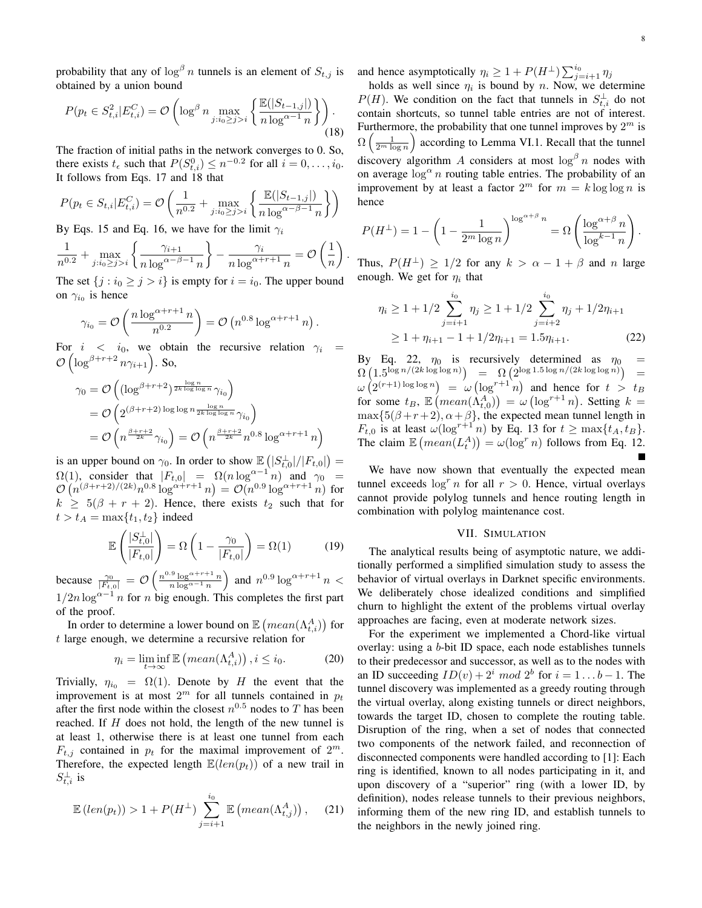probability that any of  $\log^\beta n$  tunnels is an element of  $S_{t,j}$  is obtained by a union bound

$$
P(p_t \in S_{t,i}^2 | E_{t,i}^C) = \mathcal{O}\left(\log^{\beta} n \max_{j:i_0 \ge j > i} \left\{ \frac{\mathbb{E}(|S_{t-1,j}|)}{n \log^{\alpha - 1} n} \right\} \right).
$$
(18)

The fraction of initial paths in the network converges to 0. So, there exists  $t_{\epsilon}$  such that  $P(S_{t,i}^0) \leq n^{-0.2}$  for all  $i = 0, \ldots, i_0$ . It follows from Eqs. 17 and 18 that

$$
P(p_t \in S_{t,i} | E_{t,i}^C) = \mathcal{O}\left(\frac{1}{n^{0.2}} + \max_{j:i_0 \ge j > i} \left\{ \frac{\mathbb{E}(|S_{t-1,j}|)}{n \log^{\alpha - \beta - 1} n} \right\} \right)
$$

By Eqs. 15 and Eq. 16, we have for the limit  $\gamma_i$ 

$$
\frac{1}{n^{0.2}} + \max_{j:i_0 \ge j > i} \left\{ \frac{\gamma_{i+1}}{n \log^{\alpha-\beta-1} n} \right\} - \frac{\gamma_i}{n \log^{\alpha+r+1} n} = \mathcal{O}\left(\frac{1}{n}\right)
$$

.

The set  $\{j : i_0 \ge j > i\}$  is empty for  $i = i_0$ . The upper bound on  $\gamma_{i_0}$  is hence

$$
\gamma_{i_0} = \mathcal{O}\left(\frac{n \log^{\alpha+r+1} n}{n^{0.2}}\right) = \mathcal{O}\left(n^{0.8} \log^{\alpha+r+1} n\right).
$$

For  $i \leq i_0$ , we obtain the recursive relation  $\gamma_i$  =  $\mathcal{O}\left(\log^{\beta+r+2}n\gamma_{i+1}\right)$ . So,

$$
\gamma_0 = \mathcal{O}\left((\log^{\beta+r+2})^{\frac{\log n}{2k \log \log n}} \gamma_{i_0}\right)
$$
  
=  $\mathcal{O}\left(2^{(\beta+r+2) \log \log n} \frac{\log n}{2k \log \log n}} \gamma_{i_0}\right)$   
=  $\mathcal{O}\left(n^{\frac{\beta+r+2}{2k}} \gamma_{i_0}\right) = \mathcal{O}\left(n^{\frac{\beta+r+2}{2k}} n^{0.8} \log^{\alpha+r+1} n\right)$ 

is an upper bound on  $\gamma_0$ . In order to show  $\mathbb{E} \left( |S_{t,0}^{\perp}|/|F_{t,0}|\right) =$  $\Omega(1)$ , consider that  $|F_{t,0}| = \Omega(n \log^{\alpha-1} n)$  and  $\gamma_0 =$  $\mathcal{O}(n^{(\beta+r+2)/(2k)}n^{0.8}\log^{\alpha+r+1} n) = \mathcal{O}(n^{0.9}\log^{\alpha+r+1} n)$  for  $k \geq 5(\beta + r + 2)$ . Hence, there exists  $t_2$  such that for  $t > t_A = \max\{t_1, t_2\}$  indeed

$$
\mathbb{E}\left(\frac{|S_{t,0}^{\perp}|}{|F_{t,0}|}\right) = \Omega\left(1 - \frac{\gamma_0}{|F_{t,0}|}\right) = \Omega(1) \tag{19}
$$

because  $\frac{\gamma_0}{|F_{t,0}|} = \mathcal{O}\left(\frac{n^{0.9} \log^{\alpha+r+1} n}{n \log^{\alpha-1} n}\right)$  $\frac{100}{n \log^{\alpha + r + 1} n}$  and  $n^{0.9} \log^{\alpha + r + 1} n$  <  $1/2n \log^{\alpha-1} n$  for n big enough. This completes the first part of the proof.

In order to determine a lower bound on  $\mathbb{E}\left(\text{mean}(\Lambda_{t,i}^A)\right)$  for t large enough, we determine a recursive relation for

$$
\eta_i = \liminf_{t \to \infty} \mathbb{E}\left(\operatorname{mean}(\Lambda_{t,i}^A)\right), i \leq i_0. \tag{20}
$$

Trivially,  $\eta_{i_0} = \Omega(1)$ . Denote by H the event that the improvement is at most  $2^m$  for all tunnels contained in  $p_t$ after the first node within the closest  $n^{0.5}$  nodes to T has been reached. If H does not hold, the length of the new tunnel is at least 1, otherwise there is at least one tunnel from each  $F_{t,j}$  contained in  $p_t$  for the maximal improvement of  $2^m$ . Therefore, the expected length  $\mathbb{E}(len(p_t))$  of a new trail in  $S_{t,i}^{\perp}$  is

$$
\mathbb{E}\left(\operatorname{len}(p_t)\right) > 1 + P(H^\perp) \sum_{j=i+1}^{i_0} \mathbb{E}\left(\operatorname{mean}(\Lambda_{t,j}^A)\right), \quad (21)
$$

and hence asymptotically  $\eta_i \geq 1 + P(H^{\perp}) \sum_{j=i+1}^{i_0} \eta_j$ 

holds as well since  $\eta_i$  is bound by n. Now, we determine  $P(H)$ . We condition on the fact that tunnels in  $S_{t,i}^{\perp}$  do not contain shortcuts, so tunnel table entries are not of interest. Furthermore, the probability that one tunnel improves by  $2^m$  is  $\Omega\left(\frac{1}{2^m \log n}\right)$  according to Lemma VI.1. Recall that the tunnel discovery algorithm A considers at most  $\log^\beta n$  nodes with on average  $\log^{\alpha} n$  routing table entries. The probability of an improvement by at least a factor  $2^m$  for  $m = k \log \log n$  is hence

$$
P(H^{\perp}) = 1 - \left(1 - \frac{1}{2^m \log n}\right)^{\log^{\alpha+\beta} n} = \Omega \left(\frac{\log^{\alpha+\beta} n}{\log^{k-1} n}\right).
$$

Thus,  $P(H^{\perp}) \ge 1/2$  for any  $k > \alpha - 1 + \beta$  and n large enough. We get for  $\eta_i$  that

$$
\eta_i \ge 1 + 1/2 \sum_{j=i+1}^{i_0} \eta_j \ge 1 + 1/2 \sum_{j=i+2}^{i_0} \eta_j + 1/2\eta_{i+1}
$$
  
 
$$
\ge 1 + \eta_{i+1} - 1 + 1/2\eta_{i+1} = 1.5\eta_{i+1}.
$$
 (22)

By Eq. 22,  $\eta_0$  is recursively determined as  $\eta_0$  =  $\Omega\left(1.5^{\log n/(2k\log\log n)}\right) = \Omega\left(2^{\log 1.5\log n/(2k\log\log n)}\right) =$  $\omega(2^{(r+1)\log\log n}) = \omega(\log^{r+1} n)$  and hence for  $t > t_B$ for some  $t_B$ ,  $\mathbb{E}\left(mean(\hat{\Lambda}_{t,0}^A)\right) = \omega\left(log^{r+1}n\right)$ . Setting  $k =$  $\max\{5(\beta+r+2), \alpha+\beta\}$ , the expected mean tunnel length in  $F_{t,0}$  is at least  $\omega(\log^{r+1} n)$  by Eq. 13 for  $t \ge \max\{t_A, t_B\}.$ The claim  $\mathbb{E} \left( \text{mean}(L_t^A) \right) = \omega(\log^r n)$  follows from Eq. 12.

We have now shown that eventually the expected mean tunnel exceeds  $\log^r n$  for all  $r > 0$ . Hence, virtual overlays cannot provide polylog tunnels and hence routing length in combination with polylog maintenance cost.

# VII. SIMULATION

The analytical results being of asymptotic nature, we additionally performed a simplified simulation study to assess the behavior of virtual overlays in Darknet specific environments. We deliberately chose idealized conditions and simplified churn to highlight the extent of the problems virtual overlay approaches are facing, even at moderate network sizes.

For the experiment we implemented a Chord-like virtual overlay: using a b-bit ID space, each node establishes tunnels to their predecessor and successor, as well as to the nodes with an ID succeeding  $ID(v) + 2^i \mod 2^b$  for  $i = 1...b - 1$ . The tunnel discovery was implemented as a greedy routing through the virtual overlay, along existing tunnels or direct neighbors, towards the target ID, chosen to complete the routing table. Disruption of the ring, when a set of nodes that connected two components of the network failed, and reconnection of disconnected components were handled according to [1]: Each ring is identified, known to all nodes participating in it, and upon discovery of a "superior" ring (with a lower ID, by definition), nodes release tunnels to their previous neighbors, informing them of the new ring ID, and establish tunnels to the neighbors in the newly joined ring.